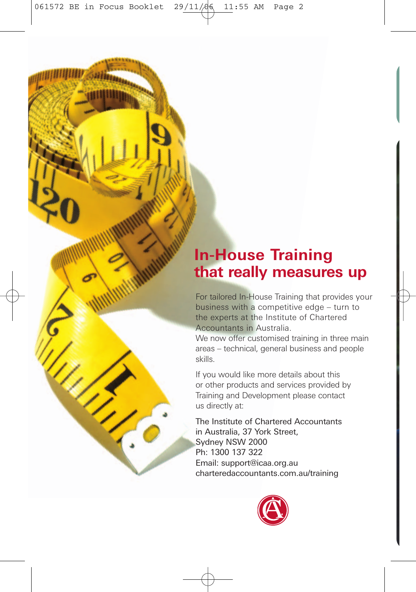061572 BE in Focus Booklet 29/11/06 11:55 AM Page 2

## **In-House Training that really measures up**

For tailored In-House Training that provides your business with a competitive edge – turn to the experts at the Institute of Chartered Accountants in Australia.

We now offer customised training in three main areas – technical, general business and people skills.

If you would like more details about this or other products and services provided by Training and Development please contact us directly at:

The Institute of Chartered Accountants in Australia, 37 York Street, Sydney NSW 2000 Ph: 1300 137 322 Email: support@icaa.org.au charteredaccountants.com.au/training

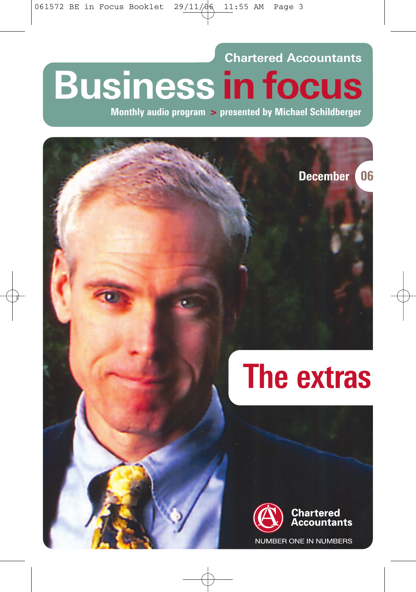W

#### **Chartered Accountants**

# **Business in focus**

**Monthly audio program > presented by Michael Schildberger**

**December 06**

# **The extras**

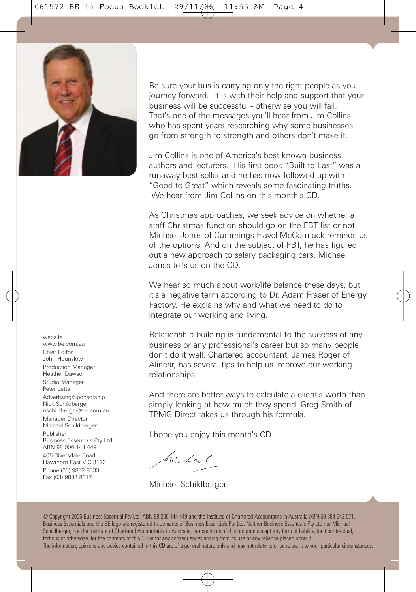061572 BE in Focus Booklet 29/11/06 11:55 AM Page 4



website www.be.com.au Chief Editor John Hounslow Production Manager Heather Dawson Studio Manager Peter Letts Advertising/Sponsorship Nick Schildberger nschildberger@be.com.au Manager Director Michael Schildberger Publisher Business Essentials Pty Ltd ABN 98 006 144 449 405 Riversdale Road, Hawthorn East VIC 3123 Phone (03) 9882 8333 Fax (03) 9882 8017

Be sure your bus is carrying only the right people as you journey forward. It is with their help and support that your business will be successful - otherwise you will fail. That's one of the messages you'll hear from Jim Collins who has spent years researching why some businesses go from strength to strength and others don't make it.

Jim Collins is one of America's best known business authors and lecturers. His first book "Built to Last" was a runaway best seller and he has now followed up with "Good to Great" which reveals some fascinating truths. We hear from Jim Collins on this month's CD.

As Christmas approaches, we seek advice on whether a staff Christmas function should go on the FBT list or not. Michael Jones of Cummings Flavel McCormack reminds us of the options. And on the subject of FBT, he has figured out a new approach to salary packaging cars. Michael Jones tells us on the CD.

We hear so much about work/life balance these days, but it's a negative term according to Dr. Adam Fraser of Energy Factory. He explains why and what we need to do to integrate our working and living.

Relationship building is fundamental to the success of any business or any professional's career but so many people don't do it well. Chartered accountant, James Roger of Alinear, has several tips to help us improve our working relationships.

And there are better ways to calculate a client's worth than simply looking at how much they spend. Greg Smith of TPMG Direct takes us through his formula.

I hope you enjoy this month's CD.

tre Lac (

Michael Schildberger

© Copyright 2006 Business Essential Pty Ltd ABN 98 006 144 449 and the Institute of Chartered Accountants in Australia ABN 50 084 642 571. Business Essentials and the BE logo are registered trademarks of Business Essentials Pty Ltd. Neither Business Essentials Pty Ltd nor Michael Schildberger, nor the Institute of Chartered Accountants in Australia, nor sponsors of this program accept any form of liability, be it contractual, tortious or otherwise, for the contents of this CD or for any consequences arising from its use or any reliance placed upon it. The information, opinions and advice contained in this CD are of a general nature only and may not relate to or be relevant to your particular circumstances.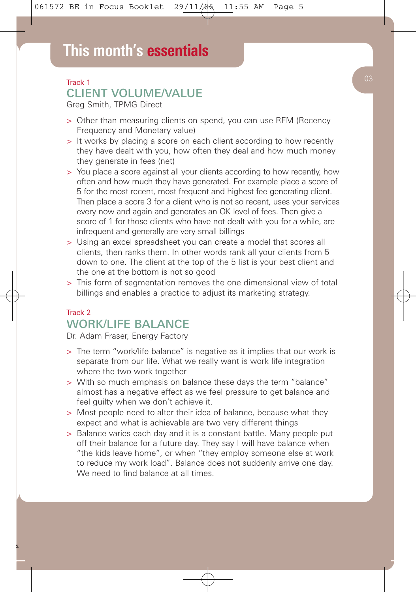# **This month's essentials**

#### Track 1

#### CLIENT VOLUME/VALUE

Greg Smith, TPMG Direct

- > Other than measuring clients on spend, you can use RFM (Recency Frequency and Monetary value)
- > It works by placing a score on each client according to how recently they have dealt with you, how often they deal and how much money they generate in fees (net)
- > You place a score against all your clients according to how recently, how often and how much they have generated. For example place a score of 5 for the most recent, most frequent and highest fee generating client. Then place a score 3 for a client who is not so recent, uses your services every now and again and generates an OK level of fees. Then give a score of 1 for those clients who have not dealt with you for a while, are infrequent and generally are very small billings
- > Using an excel spreadsheet you can create a model that scores all clients, then ranks them. In other words rank all your clients from 5 down to one. The client at the top of the 5 list is your best client and the one at the bottom is not so good
- > This form of segmentation removes the one dimensional view of total billings and enables a practice to adjust its marketing strategy.

#### Track 2 WORK/LIFE BALANCE

Dr. Adam Fraser, Energy Factory

S.

- > The term "work/life balance" is negative as it implies that our work is separate from our life. What we really want is work life integration where the two work together
- > With so much emphasis on balance these days the term "balance" almost has a negative effect as we feel pressure to get balance and feel guilty when we don't achieve it.
- > Most people need to alter their idea of balance, because what they expect and what is achievable are two very different things
- > Balance varies each day and it is a constant battle. Many people put off their balance for a future day. They say I will have balance when "the kids leave home", or when "they employ someone else at work to reduce my work load". Balance does not suddenly arrive one day. We need to find balance at all times.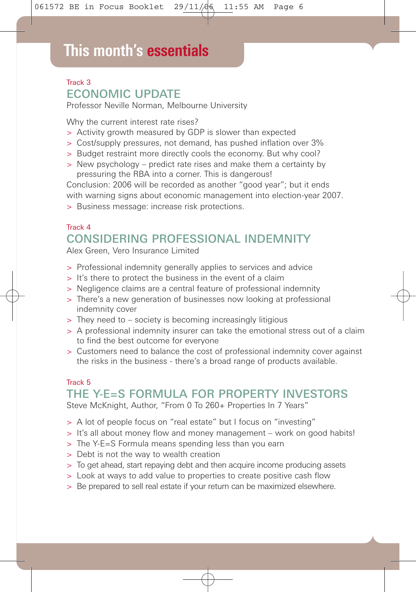# **This month's essentials**

#### Track 3 ECONOMIC UPDATE

Professor Neville Norman, Melbourne University

Why the current interest rate rises?

- > Activity growth measured by GDP is slower than expected
- > Cost/supply pressures, not demand, has pushed inflation over 3%
- > Budget restraint more directly cools the economy. But why cool?
- > New psychology predict rate rises and make them a certainty by pressuring the RBA into a corner. This is dangerous!

Conclusion: 2006 will be recorded as another "good year"; but it ends with warning signs about economic management into election-year 2007. > Business message: increase risk protections.

### Track 4 CONSIDERING PROFESSIONAL INDEMNITY

Alex Green, Vero Insurance Limited

- > Professional indemnity generally applies to services and advice
- > It's there to protect the business in the event of a claim
- > Negligence claims are a central feature of professional indemnity
- > There's a new generation of businesses now looking at professional indemnity cover
- > They need to society is becoming increasingly litigious
- > A professional indemnity insurer can take the emotional stress out of a claim to find the best outcome for everyone
- > Customers need to balance the cost of professional indemnity cover against the risks in the business - there's a broad range of products available.

#### Track 5

#### THE Y-E=S FORMULA FOR PROPERTY INVESTORS Steve McKnight, Author, "From 0 To 260+ Properties In 7 Years"

- > A lot of people focus on "real estate" but I focus on "investing"
- > It's all about money flow and money management work on good habits!
- > The Y-E=S Formula means spending less than you earn
- > Debt is not the way to wealth creation
- > To get ahead, start repaying debt and then acquire income producing assets
- > Look at ways to add value to properties to create positive cash flow
- > Be prepared to sell real estate if your return can be maximized elsewhere.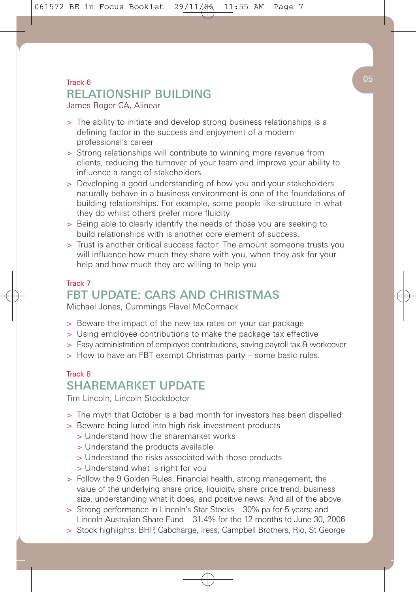061572 BE in Focus Booklet  $29/11/\sqrt{6}$  11:55 AM Page 7

#### $\blacksquare$  Track 6  $\hspace{1.6cm}$  05 RELATIONSHIP BUILDING

James Roger CA, Alinear

- > The ability to initiate and develop strong business relationships is a defining factor in the success and enjoyment of a modern professional's career
- > Strong relationships will contribute to winning more revenue from clients, reducing the turnover of your team and improve your ability to influence a range of stakeholders
- > Developing a good understanding of how you and your stakeholders naturally behave in a business environment is one of the foundations of building relationships. For example, some people like structure in what they do whilst others prefer more fluidity
- > Being able to clearly identify the needs of those you are seeking to build relationships with is another core element of success.
- > Trust is another critical success factor: The amount someone trusts you will influence how much they share with you, when they ask for your help and how much they are willing to help you

#### Track 7 FBT UPDATE: CARS AND CHRISTMAS

Michael Jones, Cummings Flavel McCormack

- > Beware the impact of the new tax rates on your car package
- > Using employee contributions to make the package tax effective
- > Easy administration of employee contributions, saving payroll tax & workcover
- > How to have an FBT exempt Christmas party some basic rules.

#### Track 8 SHAREMARKET UPDATE

Tim Lincoln, Lincoln Stockdoctor

- > The myth that October is a bad month for investors has been dispelled
- > Beware being lured into high risk investment products
	- > Understand how the sharemarket works
	- > Understand the products available
	- > Understand the risks associated with those products
	- > Understand what is right for you
- > Follow the 9 Golden Rules: Financial health, strong management, the value of the underlying share price, liquidity, share price trend, business size, understanding what it does, and positive news. And all of the above.
- > Strong performance in Lincoln's Star Stocks 30% pa for 5 years; and Lincoln Australian Share Fund – 31.4% for the 12 months to June 30, 2006
- > Stock highlights: BHP, Cabcharge, Iress, Campbell Brothers, Rio, St George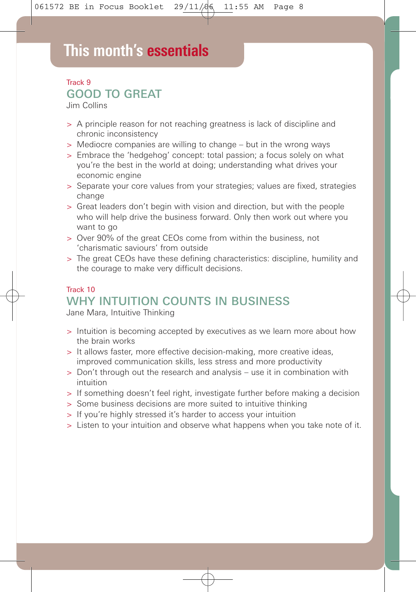# **This month's essentials**

#### Track 9 GOOD TO GREAT

Jim Collins

- > A principle reason for not reaching greatness is lack of discipline and chronic inconsistency
- > Mediocre companies are willing to change but in the wrong ways
- > Embrace the 'hedgehog' concept: total passion; a focus solely on what you're the best in the world at doing; understanding what drives your economic engine
- > Separate your core values from your strategies; values are fixed, strategies change
- > Great leaders don't begin with vision and direction, but with the people who will help drive the business forward. Only then work out where you want to go
- > Over 90% of the great CEOs come from within the business, not 'charismatic saviours' from outside
- > The great CEOs have these defining characteristics: discipline, humility and the courage to make very difficult decisions.

#### Track 10 WHY INTUITION COUNTS IN BUSINESS

Jane Mara, Intuitive Thinking

- > Intuition is becoming accepted by executives as we learn more about how the brain works
- > It allows faster, more effective decision-making, more creative ideas, improved communication skills, less stress and more productivity
- > Don't through out the research and analysis use it in combination with intuition
- > If something doesn't feel right, investigate further before making a decision
- > Some business decisions are more suited to intuitive thinking
- > If you're highly stressed it's harder to access your intuition
- > Listen to your intuition and observe what happens when you take note of it.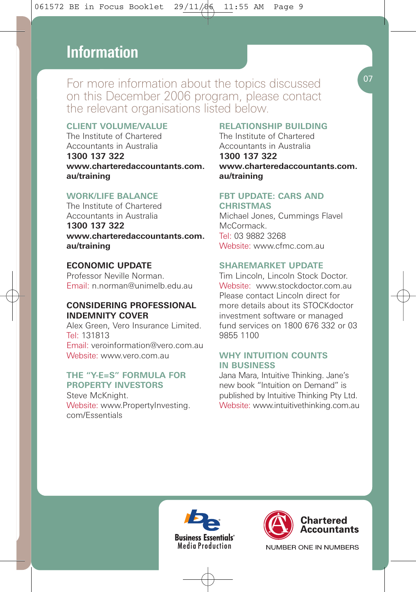## **This month's essentials Information**

For more information about the topics discussed on this December 2006 program, please contact the relevant organisations listed below.

#### **CLIENT VOLUME/VALUE**

The Institute of Chartered Accountants in Australia **1300 137 322 www.charteredaccountants.com. au/training**

#### **WORK/LIFE BALANCE**

The Institute of Chartered Accountants in Australia **1300 137 322 www.charteredaccountants.com. au/training**

#### **ECONOMIC UPDATE**

Professor Neville Norman. Email: n.norman@unimelb.edu.au

#### **CONSIDERING PROFESSIONAL INDEMNITY COVER**

Alex Green, Vero Insurance Limited. Tel: 131813 Email: veroinformation@vero.com.au Website: www.vero.com.au

#### **THE "Y-E=S" FORMULA FOR PROPERTY INVESTORS**

Steve McKnight. Website: www.PropertyInvesting. com/Essentials

#### **RELATIONSHIP BUILDING**

The Institute of Chartered Accountants in Australia **1300 137 322 www.charteredaccountants.com. au/training**

#### **FBT UPDATE: CARS AND**

**CHRISTMAS** Michael Jones, Cummings Flavel McCormack. Tel: 03 9882 3268 Website: www.cfmc.com.au

#### **SHAREMARKET UPDATE**

Tim Lincoln, Lincoln Stock Doctor. Website: www.stockdoctor.com.au. Please contact Lincoln direct for more details about its STOCKdoctor investment software or managed fund services on 1800 676 332 or 03 9855 1100

#### **WHY INTUITION COUNTS IN BUSINESS**

Jana Mara, Intuitive Thinking. Jane's new book "Intuition on Demand" is published by Intuitive Thinking Pty Ltd. Website: www.intuitivethinking.com.au





NUMBER ONE IN NUMBERS

07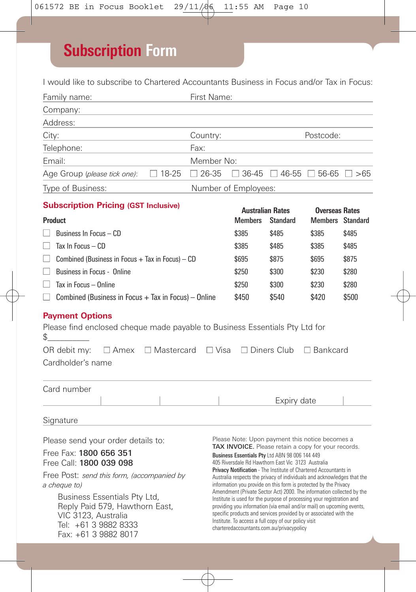# **Subscription Form**

I would like to subscribe to Chartered Accountants Business in Focus and/or Tax in Focus:

| Family name:                                                                                                                                                                                                                              | First Name:                                                                                                                                                                                                                                                                                                                                                                                      |                                                              |                                      |                                                  |                                                                                                                                                |  |  |
|-------------------------------------------------------------------------------------------------------------------------------------------------------------------------------------------------------------------------------------------|--------------------------------------------------------------------------------------------------------------------------------------------------------------------------------------------------------------------------------------------------------------------------------------------------------------------------------------------------------------------------------------------------|--------------------------------------------------------------|--------------------------------------|--------------------------------------------------|------------------------------------------------------------------------------------------------------------------------------------------------|--|--|
| Company:                                                                                                                                                                                                                                  |                                                                                                                                                                                                                                                                                                                                                                                                  |                                                              |                                      |                                                  |                                                                                                                                                |  |  |
| Address:                                                                                                                                                                                                                                  |                                                                                                                                                                                                                                                                                                                                                                                                  |                                                              |                                      |                                                  |                                                                                                                                                |  |  |
| City:<br>Country:                                                                                                                                                                                                                         |                                                                                                                                                                                                                                                                                                                                                                                                  |                                                              | Postcode:                            |                                                  |                                                                                                                                                |  |  |
| Telephone:                                                                                                                                                                                                                                | Fax:                                                                                                                                                                                                                                                                                                                                                                                             |                                                              |                                      |                                                  |                                                                                                                                                |  |  |
| Email:<br>Member No:                                                                                                                                                                                                                      |                                                                                                                                                                                                                                                                                                                                                                                                  |                                                              |                                      |                                                  |                                                                                                                                                |  |  |
| $\Box$ 18-25<br>Age Group ( <i>please tick one)</i> :                                                                                                                                                                                     | $\Box$ 26-35                                                                                                                                                                                                                                                                                                                                                                                     | $\Box$ 36-45                                                 | $\Box$ 46-55 $\Box$ 56-65 $\Box$ >65 |                                                  |                                                                                                                                                |  |  |
| Type of Business:<br>Number of Employees:                                                                                                                                                                                                 |                                                                                                                                                                                                                                                                                                                                                                                                  |                                                              |                                      |                                                  |                                                                                                                                                |  |  |
| <b>Subscription Pricing (GST Inclusive)</b>                                                                                                                                                                                               |                                                                                                                                                                                                                                                                                                                                                                                                  |                                                              |                                      |                                                  |                                                                                                                                                |  |  |
| Product                                                                                                                                                                                                                                   |                                                                                                                                                                                                                                                                                                                                                                                                  | <b>Australian Rates</b><br><b>Members</b><br><b>Standard</b> |                                      | <b>Overseas Rates</b><br><b>Members</b> Standard |                                                                                                                                                |  |  |
| H<br>Business In Focus - CD                                                                                                                                                                                                               |                                                                                                                                                                                                                                                                                                                                                                                                  | \$385                                                        | \$485                                | \$385                                            | \$485                                                                                                                                          |  |  |
| Tax In Focus - CD<br>H                                                                                                                                                                                                                    |                                                                                                                                                                                                                                                                                                                                                                                                  | \$385                                                        | \$485                                | \$385                                            | \$485                                                                                                                                          |  |  |
| Combined (Business in Focus $+$ Tax in Focus) $-$ CD                                                                                                                                                                                      | \$695                                                                                                                                                                                                                                                                                                                                                                                            | \$875                                                        | \$695                                | \$875                                            |                                                                                                                                                |  |  |
| Business in Focus - Online                                                                                                                                                                                                                | \$250                                                                                                                                                                                                                                                                                                                                                                                            | \$300                                                        | \$230                                | \$280                                            |                                                                                                                                                |  |  |
| Tax in Focus - Online                                                                                                                                                                                                                     |                                                                                                                                                                                                                                                                                                                                                                                                  | \$250                                                        | \$300                                | \$230                                            | \$280                                                                                                                                          |  |  |
| Combined (Business in Focus $+$ Tax in Focus) – Online                                                                                                                                                                                    |                                                                                                                                                                                                                                                                                                                                                                                                  | \$450                                                        | \$540                                | \$420                                            | \$500                                                                                                                                          |  |  |
| <b>Payment Options</b><br>Please find enclosed cheque made payable to Business Essentials Pty Ltd for<br>\$<br>OR debit my:<br>$\Box$ Amex $\Box$ Mastercard<br>$\Box$ Visa<br>$\Box$ Diners Club<br>$\Box$ Bankcard<br>Cardholder's name |                                                                                                                                                                                                                                                                                                                                                                                                  |                                                              |                                      |                                                  |                                                                                                                                                |  |  |
| Card number<br>Signature                                                                                                                                                                                                                  |                                                                                                                                                                                                                                                                                                                                                                                                  |                                                              | Expiry date                          |                                                  |                                                                                                                                                |  |  |
|                                                                                                                                                                                                                                           |                                                                                                                                                                                                                                                                                                                                                                                                  |                                                              |                                      |                                                  |                                                                                                                                                |  |  |
| Please Note: Upon payment this notice becomes a<br>Please send your order details to:<br>TAX INVOICE. Please retain a copy for your records.                                                                                              |                                                                                                                                                                                                                                                                                                                                                                                                  |                                                              |                                      |                                                  |                                                                                                                                                |  |  |
| Free Fax: 1800 656 351<br>Free Call: 1800 039 098                                                                                                                                                                                         | Business Essentials Pty Ltd ABN 98 006 144 449<br>405 Riversdale Rd Hawthorn East Vic 3123 Australia<br>Privacy Notification - The Institute of Chartered Accountants in<br>Australia respects the privacy of individuals and acknowledges that the<br>information you provide on this form is protected by the Privacy<br>Amendment (Private Sector Act) 2000. The information collected by the |                                                              |                                      |                                                  |                                                                                                                                                |  |  |
| Free Post: send this form, (accompanied by<br>a cheque to)                                                                                                                                                                                |                                                                                                                                                                                                                                                                                                                                                                                                  |                                                              |                                      |                                                  |                                                                                                                                                |  |  |
| Business Essentials Pty Ltd,<br>Reply Paid 579, Hawthorn East,<br>VIC 3123. Australia<br>Tel: +61 3 9882 8333<br>Fax: +61 3 9882 8017                                                                                                     | specific products and services provided by or associated with the<br>Institute. To access a full copy of our policy visit<br>charteredaccountants.com.au/privacypolicy                                                                                                                                                                                                                           |                                                              |                                      |                                                  | Institute is used for the purpose of processing your registration and<br>providing you information (via email and/or mail) on upcoming events, |  |  |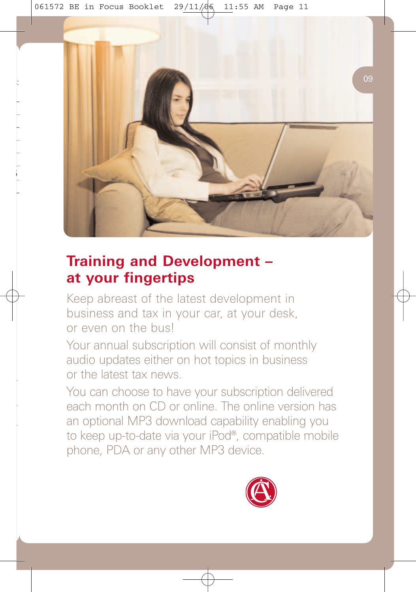$\mathbb{F}_p$  is  $\mathbb{G}$ 

**■** >65

500



## **Training and Development – at your fingertips**

Keep abreast of the latest development in business and tax in your car, at your desk, or even on the bus!

Your annual subscription will consist of monthly audio updates either on hot topics in business or the latest tax news.

You can choose to have your subscription delivered each month on CD or online. The online version has an optional MP3 download capability enabling you to keep up-to-date via your iPod®, compatible mobile phone, PDA or any other MP3 device.

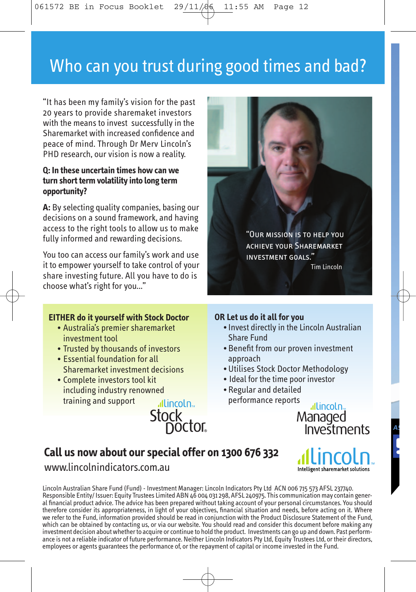061572 BE in Focus Booklet 29/11/06 11:55 AM Page 12

# Who can you trust during good times and bad?

"It has been my family's vision for the past 20 years to provide sharemaket investors with the means to invest successfully in the Sharemarket with increased confidence and peace of mind. Through Dr Merv Lincoln's PHD research, our vision is now a reality.

#### **Q: In these uncertain times how can we turn short term volatility into long term opportunity?**

**A:** By selecting quality companies, basing our decisions on a sound framework, and having access to the right tools to allow us to make fully informed and rewarding decisions.

You too can access our family's work and use it to empower yourself to take control of your share investing future. All you have to do is choose what's right for you..."

#### **EITHER do it yourself with Stock Doctor**

- Australia's premier sharemarket investment tool
- Trusted by thousands of investors
- Essential foundation for all Sharemarket investment decisions
- Complete investors tool kit including industry renowned training and support allincoln<sub>2</sub>

### **OR Let us do it all for you**

- Invest directly in the Lincoln Australian Share Fund
- Benefit from our proven investment approach
- Utilises Stock Doctor Methodology
- Ideal for the time poor investor
- Regular and detailed performance reports

allincoln. Managed Investments

Intelligent sharemarket solutions

#### **Call us now about our special offer on 1300 676 332**

**Stock**<br>Doctor

#### www.lincolnindicators.com.au

Lincoln Australian Share Fund (Fund) - Investment Manager: Lincoln Indicators Pty Ltd ACN 006 715 573 AFSL 237740. Responsible Entity/ Issuer: Equity Trustees Limited ABN 46 004 031 298, AFSL 240975. This communication may contain general financial product advice. The advice has been prepared without taking account of your personal circumstances. You should therefore consider its appropriateness, in light of your objectives, financial situation and needs, before acting on it. Where<br>we refer to the Fund, information provided should be read in conjunction with the Product Discl which can be obtained by contacting us, or via our website. You should read and consider this document before making any investment decision about whether to acquire or continue to hold the product. Investments can go up and down. Past performance is not a reliable indicator of future performance. Neither Lincoln Indicators Pty Ltd, Equity Trustees Ltd, or their directors, employees or agents guarantees the performance of, or the repayment of capital or income invested in the Fund.



**AS**